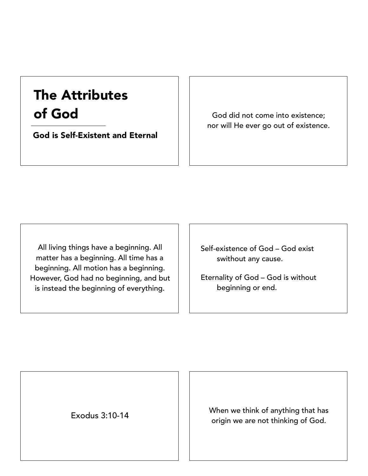# The Attributes of God

God is Self-Existent and Eternal

God did not come into existence; nor will He ever go out of existence.

All living things have a beginning. All matter has a beginning. All time has a beginning. All motion has a beginning. However, God had no beginning, and but is instead the beginning of everything.

Self-existence of God – God exist swithout any cause.

Eternality of God – God is without beginning or end.

Exodus 3:10-14 When we think of anything that has origin we are not thinking of God.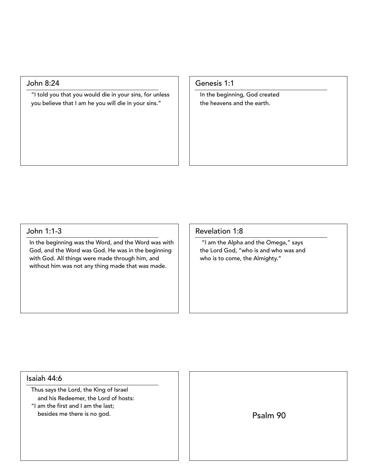### John 8:24

"I told you that you would die in your sins, for unless you believe that I am he you will die in your sins."

### Genesis 1:1

In the beginning, God created the heavens and the earth.

#### John 1:1-3

In the beginning was the Word, and the Word was with God, and the Word was God. He was in the beginning with God. All things were made through him, and without him was not any thing made that was made.

#### Revelation 1:8

"I am the Alpha and the Omega," says the Lord God, "who is and who was and who is to come, the Almighty."

#### Isaiah 44:6

Thus says the Lord, the King of Israel and his Redeemer, the Lord of hosts:

"I am the first and I am the last;

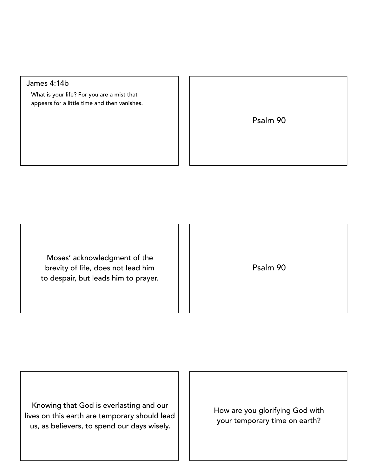### James 4:14b

What is your life? For you are a mist that appears for a little time and then vanishes.

Psalm 90

Moses' acknowledgment of the brevity of life, does not lead him to despair, but leads him to prayer.

| Psalm 90 |  |  |
|----------|--|--|
|----------|--|--|

Knowing that God is everlasting and our lives on this earth are temporary should lead us, as believers, to spend our days wisely.

How are you glorifying God with your temporary time on earth?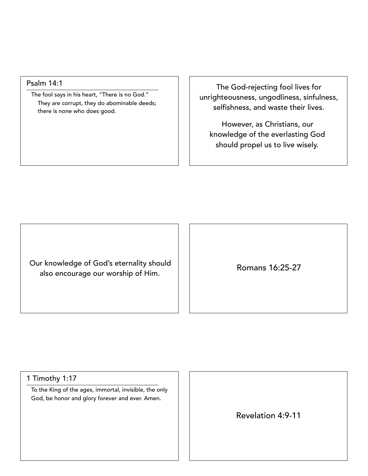### Psalm 14:1

The fool says in his heart, "There is no God." They are corrupt, they do abominable deeds; there is none who does good.

The God-rejecting fool lives for unrighteousness, ungodliness, sinfulness, selfishness, and waste their lives.

However, as Christians, our knowledge of the everlasting God should propel us to live wisely.

Our knowledge of God's eternality should also encourage or God's eternality should<br>also encourage our worship of Him.

## 1 Timothy 1:17

To the King of the ages, immortal, invisible, the only God, be honor and glory forever and ever. Amen.